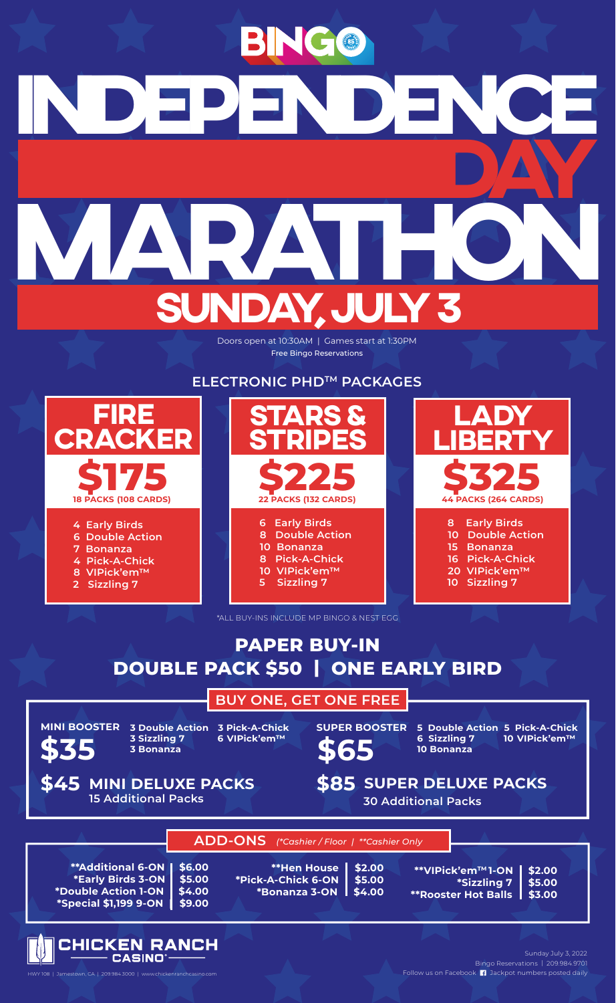

Bingo Reservations | 209.984.9701 Follow us on Facebook **11** Jackpot numbers posted daily Sunday July 3, 2022